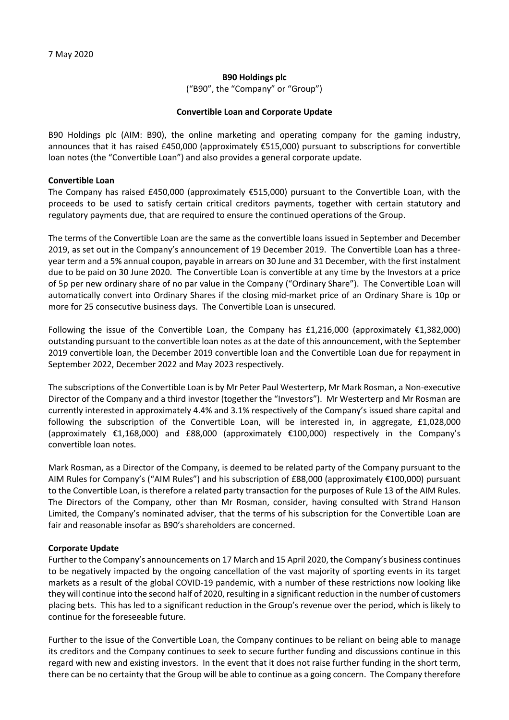### **B90 Holdings plc**

("B90", the "Company" or "Group")

#### **Convertible Loan and Corporate Update**

B90 Holdings plc (AIM: B90), the online marketing and operating company for the gaming industry, announces that it has raised £450,000 (approximately €515,000) pursuant to subscriptions for convertible loan notes (the "Convertible Loan") and also provides a general corporate update.

### **Convertible Loan**

The Company has raised £450,000 (approximately €515,000) pursuant to the Convertible Loan, with the proceeds to be used to satisfy certain critical creditors payments, together with certain statutory and regulatory payments due, that are required to ensure the continued operations of the Group.

The terms of the Convertible Loan are the same as the convertible loans issued in September and December 2019, as set out in the Company's announcement of 19 December 2019. The Convertible Loan has a threeyear term and a 5% annual coupon, payable in arrears on 30 June and 31 December, with the first instalment due to be paid on 30 June 2020. The Convertible Loan is convertible at any time by the Investors at a price of 5p per new ordinary share of no par value in the Company ("Ordinary Share"). The Convertible Loan will automatically convert into Ordinary Shares if the closing mid-market price of an Ordinary Share is 10p or more for 25 consecutive business days. The Convertible Loan is unsecured.

Following the issue of the Convertible Loan, the Company has £1,216,000 (approximately  $£1,382,000$ ) outstanding pursuant to the convertible loan notes as at the date of this announcement, with the September 2019 convertible loan, the December 2019 convertible loan and the Convertible Loan due for repayment in September 2022, December 2022 and May 2023 respectively.

The subscriptions of the Convertible Loan is by Mr Peter Paul Westerterp, Mr Mark Rosman, a Non-executive Director of the Company and a third investor (together the "Investors"). Mr Westerterp and Mr Rosman are currently interested in approximately 4.4% and 3.1% respectively of the Company's issued share capital and following the subscription of the Convertible Loan, will be interested in, in aggregate, £1,028,000 (approximately €1,168,000) and £88,000 (approximately €100,000) respectively in the Company's convertible loan notes.

Mark Rosman, as a Director of the Company, is deemed to be related party of the Company pursuant to the AIM Rules for Company's ("AIM Rules") and his subscription of £88,000 (approximately €100,000) pursuant to the Convertible Loan, is therefore a related party transaction for the purposes of Rule 13 of the AIM Rules. The Directors of the Company, other than Mr Rosman, consider, having consulted with Strand Hanson Limited, the Company's nominated adviser, that the terms of his subscription for the Convertible Loan are fair and reasonable insofar as B90's shareholders are concerned.

## **Corporate Update**

Further to the Company's announcements on 17 March and 15 April 2020, the Company's business continues to be negatively impacted by the ongoing cancellation of the vast majority of sporting events in its target markets as a result of the global COVID-19 pandemic, with a number of these restrictions now looking like they will continue into the second half of 2020, resulting in a significant reduction in the number of customers placing bets. This has led to a significant reduction in the Group's revenue over the period, which is likely to continue for the foreseeable future.

Further to the issue of the Convertible Loan, the Company continues to be reliant on being able to manage its creditors and the Company continues to seek to secure further funding and discussions continue in this regard with new and existing investors. In the event that it does not raise further funding in the short term, there can be no certainty that the Group will be able to continue as a going concern. The Company therefore